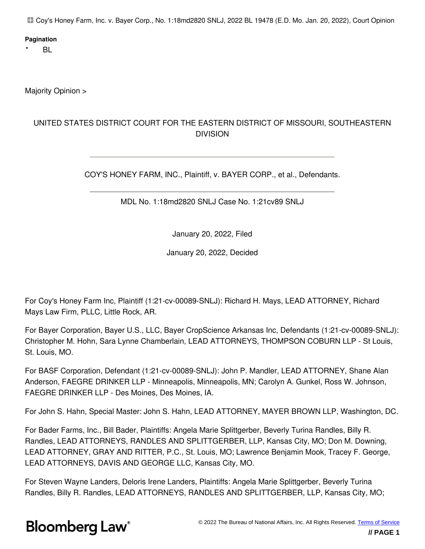Coy's Honey Farm, Inc. v. Bayer Corp., No. 1:18md2820 SNLJ, 2022 BL 19478 (E.D. Mo. Jan. 20, 2022), Court Opinion

#### **Pagination**

 $BL$ 

Majority Opinion >

#### UNITED STATES DISTRICT COURT FOR THE EASTERN DISTRICT OF MISSOURI, SOUTHEASTERN DIVISION

COY'S HONEY FARM, INC., Plaintiff, v. BAYER CORP., et al., Defendants.

MDL No. 1:18md2820 SNLJ Case No. 1:21cv89 SNLJ

January 20, 2022, Filed

January 20, 2022, Decided

For Coy's Honey Farm Inc, Plaintiff (1:21-cv-00089-SNLJ): Richard H. Mays, LEAD ATTORNEY, Richard Mays Law Firm, PLLC, Little Rock, AR.

For Bayer Corporation, Bayer U.S., LLC, Bayer CropScience Arkansas Inc, Defendants (1:21-cv-00089-SNLJ): Christopher M. Hohn, Sara Lynne Chamberlain, LEAD ATTORNEYS, THOMPSON COBURN LLP - St Louis, St. Louis, MO.

For BASF Corporation, Defendant (1:21-cv-00089-SNLJ): John P. Mandler, LEAD ATTORNEY, Shane Alan Anderson, FAEGRE DRINKER LLP - Minneapolis, Minneapolis, MN; Carolyn A. Gunkel, Ross W. Johnson, FAEGRE DRINKER LLP - Des Moines, Des Moines, IA.

For John S. Hahn, Special Master: John S. Hahn, LEAD ATTORNEY, MAYER BROWN LLP, Washington, DC.

For Bader Farms, Inc., Bill Bader, Plaintiffs: Angela Marie Splittgerber, Beverly Turina Randles, Billy R. Randles, LEAD ATTORNEYS, RANDLES AND SPLITTGERBER, LLP, Kansas City, MO; Don M. Downing, LEAD ATTORNEY, GRAY AND RITTER, P.C., St. Louis, MO; Lawrence Benjamin Mook, Tracey F. George, LEAD ATTORNEYS, DAVIS AND GEORGE LLC, Kansas City, MO.

For Steven Wayne Landers, Deloris Irene Landers, Plaintiffs: Angela Marie Splittgerber, Beverly Turina Randles, Billy R. Randles, LEAD ATTORNEYS, RANDLES AND SPLITTGERBER, LLP, Kansas City, MO;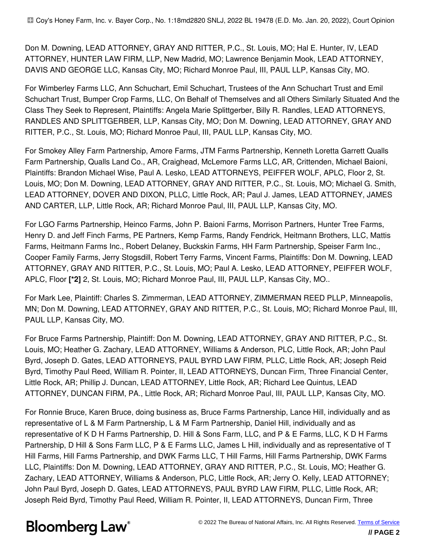Don M. Downing, LEAD ATTORNEY, GRAY AND RITTER, P.C., St. Louis, MO; Hal E. Hunter, IV, LEAD ATTORNEY, HUNTER LAW FIRM, LLP, New Madrid, MO; Lawrence Benjamin Mook, LEAD ATTORNEY, DAVIS AND GEORGE LLC, Kansas City, MO; Richard Monroe Paul, III, PAUL LLP, Kansas City, MO.

For Wimberley Farms LLC, Ann Schuchart, Emil Schuchart, Trustees of the Ann Schuchart Trust and Emil Schuchart Trust, Bumper Crop Farms, LLC, On Behalf of Themselves and all Others Similarly Situated And the Class They Seek to Represent, Plaintiffs: Angela Marie Splittgerber, Billy R. Randles, LEAD ATTORNEYS, RANDLES AND SPLITTGERBER, LLP, Kansas City, MO; Don M. Downing, LEAD ATTORNEY, GRAY AND RITTER, P.C., St. Louis, MO; Richard Monroe Paul, III, PAUL LLP, Kansas City, MO.

For Smokey Alley Farm Partnership, Amore Farms, JTM Farms Partnership, Kenneth Loretta Garrett Qualls Farm Partnership, Qualls Land Co., AR, Craighead, McLemore Farms LLC, AR, Crittenden, Michael Baioni, Plaintiffs: Brandon Michael Wise, Paul A. Lesko, LEAD ATTORNEYS, PEIFFER WOLF, APLC, Floor 2, St. Louis, MO; Don M. Downing, LEAD ATTORNEY, GRAY AND RITTER, P.C., St. Louis, MO; Michael G. Smith, LEAD ATTORNEY, DOVER AND DIXON, PLLC, Little Rock, AR; Paul J. James, LEAD ATTORNEY, JAMES AND CARTER, LLP, Little Rock, AR; Richard Monroe Paul, III, PAUL LLP, Kansas City, MO.

For LGO Farms Partnership, Heinco Farms, John P. Baioni Farms, Morrison Partners, Hunter Tree Farms, Henry D. and Jeff Finch Farms, PE Partners, Kemp Farms, Randy Fendrick, Heitmann Brothers, LLC, Mattis Farms, Heitmann Farms Inc., Robert Delaney, Buckskin Farms, HH Farm Partnership, Speiser Farm Inc., Cooper Family Farms, Jerry Stogsdill, Robert Terry Farms, Vincent Farms, Plaintiffs: Don M. Downing, LEAD ATTORNEY, GRAY AND RITTER, P.C., St. Louis, MO; Paul A. Lesko, LEAD ATTORNEY, PEIFFER WOLF, APLC, Floor **[\*2]** 2, St. Louis, MO; Richard Monroe Paul, III, PAUL LLP, Kansas City, MO..

For Mark Lee, Plaintiff: Charles S. Zimmerman, LEAD ATTORNEY, ZIMMERMAN REED PLLP, Minneapolis, MN; Don M. Downing, LEAD ATTORNEY, GRAY AND RITTER, P.C., St. Louis, MO; Richard Monroe Paul, III, PAUL LLP, Kansas City, MO.

For Bruce Farms Partnership, Plaintiff: Don M. Downing, LEAD ATTORNEY, GRAY AND RITTER, P.C., St. Louis, MO; Heather G. Zachary, LEAD ATTORNEY, Williams & Anderson, PLC, Little Rock, AR; John Paul Byrd, Joseph D. Gates, LEAD ATTORNEYS, PAUL BYRD LAW FIRM, PLLC, Little Rock, AR; Joseph Reid Byrd, Timothy Paul Reed, William R. Pointer, II, LEAD ATTORNEYS, Duncan Firm, Three Financial Center, Little Rock, AR; Phillip J. Duncan, LEAD ATTORNEY, Little Rock, AR; Richard Lee Quintus, LEAD ATTORNEY, DUNCAN FIRM, PA., Little Rock, AR; Richard Monroe Paul, III, PAUL LLP, Kansas City, MO.

For Ronnie Bruce, Karen Bruce, doing business as, Bruce Farms Partnership, Lance Hill, individually and as representative of L & M Farm Partnership, L & M Farm Partnership, Daniel Hill, individually and as representative of K D H Farms Partnership, D. Hill & Sons Farm, LLC, and P & E Farms, LLC, K D H Farms Partnership, D Hill & Sons Farm LLC, P & E Farms LLC, James L Hill, individually and as representative of T Hill Farms, Hill Farms Partnership, and DWK Farms LLC, T Hill Farms, Hill Farms Partnership, DWK Farms LLC, Plaintiffs: Don M. Downing, LEAD ATTORNEY, GRAY AND RITTER, P.C., St. Louis, MO; Heather G. Zachary, LEAD ATTORNEY, Williams & Anderson, PLC, Little Rock, AR; Jerry O. Kelly, LEAD ATTORNEY; John Paul Byrd, Joseph D. Gates, LEAD ATTORNEYS, PAUL BYRD LAW FIRM, PLLC, Little Rock, AR; Joseph Reid Byrd, Timothy Paul Reed, William R. Pointer, II, LEAD ATTORNEYS, Duncan Firm, Three

### **Bloomberg Law®**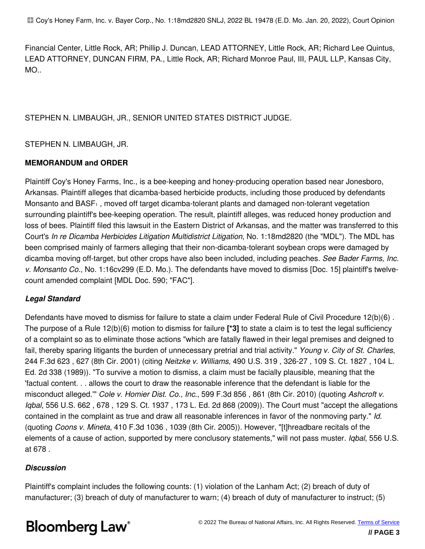Financial Center, Little Rock, AR; Phillip J. Duncan, LEAD ATTORNEY, Little Rock, AR; Richard Lee Quintus, LEAD ATTORNEY, DUNCAN FIRM, PA., Little Rock, AR; Richard Monroe Paul, III, PAUL LLP, Kansas City, MO..

#### STEPHEN N. LIMBAUGH, JR., SENIOR UNITED STATES DISTRICT JUDGE.

#### STEPHEN N. LIMBAUGH, JR.

#### **MEMORANDUM and ORDER**

Plaintiff Coy's Honey Farms, Inc., is a bee-keeping and honey-producing operation based near Jonesboro, Arkansas. Plaintiff alleges that dicamba-based herbicide products, including those produced by defendants Monsanto and BASF1 , moved off target dicamba-tolerant plants and damaged non-tolerant vegetation surrounding plaintiff's bee-keeping operation. The result, plaintiff alleges, was reduced honey production and loss of bees. Plaintiff filed this lawsuit in the Eastern District of Arkansas, and the matter was transferred to this Court's *In re Dicamba Herbicides Litigation Multidistrict Litigation*, No. 1:18md2820 (the "MDL"). The MDL has been comprised mainly of farmers alleging that their non-dicamba-tolerant soybean crops were damaged by dicamba moving off-target, but other crops have also been included, including peaches. *See Bader Farms, Inc. v. Monsanto Co.*, No. 1:16cv299 (E.D. Mo.). The defendants have moved to dismiss [Doc. 15] plaintiff's twelvecount amended complaint [MDL Doc. 590; "FAC"].

#### *Legal Standard*

Defendants have moved to dismiss for failure to state a claim under Federal Rule of Civil Procedure 12(b)(6) . The purpose of a Rule 12(b)(6) motion to dismiss for failure **[\*3]** to state a claim is to test the legal sufficiency of a complaint so as to eliminate those actions "which are fatally flawed in their legal premises and deigned to fail, thereby sparing litigants the burden of unnecessary pretrial and trial activity." *Young v. City of St. Charles*, 244 F.3d 623 , 627 (8th Cir. 2001) (citing *Neitzke v. Williams*, 490 U.S. 319 , 326-27 , 109 S. Ct. 1827 , 104 L. Ed. 2d 338 (1989)). "To survive a motion to dismiss, a claim must be facially plausible, meaning that the 'factual content. . . allows the court to draw the reasonable inference that the defendant is liable for the misconduct alleged.'" *Cole v. Homier Dist. Co., Inc.*, 599 F.3d 856 , 861 (8th Cir. 2010) (quoting *Ashcroft v. Iqbal*, 556 U.S. 662 , 678 , 129 S. Ct. 1937 , 173 L. Ed. 2d 868 (2009)). The Court must "accept the allegations contained in the complaint as true and draw all reasonable inferences in favor of the nonmoving party." *Id.* (quoting *Coons v. Mineta*, 410 F.3d 1036 , 1039 (8th Cir. 2005)). However, "[t]hreadbare recitals of the elements of a cause of action, supported by mere conclusory statements," will not pass muster. *Iqbal*, 556 U.S. at 678 .

#### *Discussion*

Plaintiff's complaint includes the following counts: (1) violation of the Lanham Act; (2) breach of duty of manufacturer; (3) breach of duty of manufacturer to warn; (4) breach of duty of manufacturer to instruct; (5)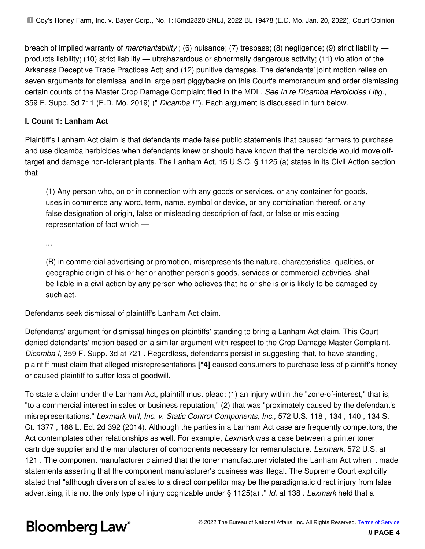breach of implied warranty of *merchantability* ; (6) nuisance; (7) trespass; (8) negligence; (9) strict liability products liability; (10) strict liability — ultrahazardous or abnormally dangerous activity; (11) violation of the Arkansas Deceptive Trade Practices Act; and (12) punitive damages. The defendants' joint motion relies on seven arguments for dismissal and in large part piggybacks on this Court's memorandum and order dismissing certain counts of the Master Crop Damage Complaint filed in the MDL. *See In re Dicamba Herbicides Litig.*, 359 F. Supp. 3d 711 (E.D. Mo. 2019) (" *Dicamba I* "). Each argument is discussed in turn below.

#### **I. Count 1: Lanham Act**

Plaintiff's Lanham Act claim is that defendants made false public statements that caused farmers to purchase and use dicamba herbicides when defendants knew or should have known that the herbicide would move offtarget and damage non-tolerant plants. The Lanham Act, 15 U.S.C. § 1125 (a) states in its Civil Action section that

(1) Any person who, on or in connection with any goods or services, or any container for goods, uses in commerce any word, term, name, symbol or device, or any combination thereof, or any false designation of origin, false or misleading description of fact, or false or misleading representation of fact which —

...

(B) in commercial advertising or promotion, misrepresents the nature, characteristics, qualities, or geographic origin of his or her or another person's goods, services or commercial activities, shall be liable in a civil action by any person who believes that he or she is or is likely to be damaged by such act.

Defendants seek dismissal of plaintiff's Lanham Act claim.

Defendants' argument for dismissal hinges on plaintiffs' standing to bring a Lanham Act claim. This Court denied defendants' motion based on a similar argument with respect to the Crop Damage Master Complaint. *Dicamba I*, 359 F. Supp. 3d at 721 . Regardless, defendants persist in suggesting that, to have standing, plaintiff must claim that alleged misrepresentations **[\*4]** caused consumers to purchase less of plaintiff's honey or caused plaintiff to suffer loss of goodwill.

To state a claim under the Lanham Act, plaintiff must plead: (1) an injury within the "zone-of-interest," that is, "to a commercial interest in sales or business reputation," (2) that was "proximately caused by the defendant's misrepresentations." *Lexmark Int'l, Inc. v. Static Control Components, Inc.*, 572 U.S. 118 , 134 , 140 , 134 S. Ct. 1377 , 188 L. Ed. 2d 392 (2014). Although the parties in a Lanham Act case are frequently competitors, the Act contemplates other relationships as well. For example, *Lexmark* was a case between a printer toner cartridge supplier and the manufacturer of components necessary for remanufacture. *Lexmark*, 572 U.S. at 121 . The component manufacturer claimed that the toner manufacturer violated the Lanham Act when it made statements asserting that the component manufacturer's business was illegal. The Supreme Court explicitly stated that "although diversion of sales to a direct competitor may be the paradigmatic direct injury from false advertising, it is not the only type of injury cognizable under § 1125(a) ." *Id.* at 138 . *Lexmark* held that a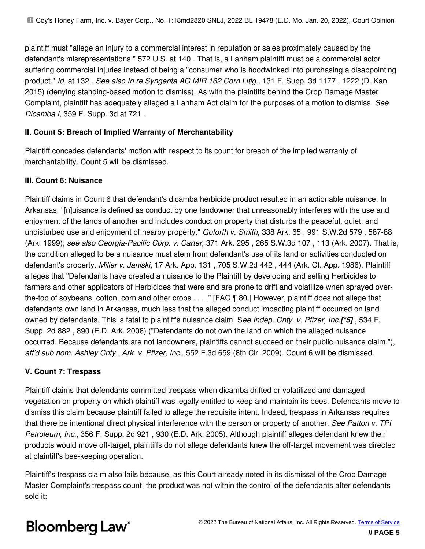plaintiff must "allege an injury to a commercial interest in reputation or sales proximately caused by the defendant's misrepresentations." 572 U.S. at 140 . That is, a Lanham plaintiff must be a commercial actor suffering commercial injuries instead of being a "consumer who is hoodwinked into purchasing a disappointing product." *Id.* at 132 . *See also In re Syngenta AG MIR 162 Corn Litig.*, 131 F. Supp. 3d 1177 , 1222 (D. Kan. 2015) (denying standing-based motion to dismiss). As with the plaintiffs behind the Crop Damage Master Complaint, plaintiff has adequately alleged a Lanham Act claim for the purposes of a motion to dismiss. *See Dicamba I*, 359 F. Supp. 3d at 721 .

#### **II. Count 5: Breach of Implied Warranty of Merchantability**

Plaintiff concedes defendants' motion with respect to its count for breach of the implied warranty of merchantability. Count 5 will be dismissed.

#### **III. Count 6: Nuisance**

Plaintiff claims in Count 6 that defendant's dicamba herbicide product resulted in an actionable nuisance. In Arkansas, "[n]uisance is defined as conduct by one landowner that unreasonably interferes with the use and enjoyment of the lands of another and includes conduct on property that disturbs the peaceful, quiet, and undisturbed use and enjoyment of nearby property." *Goforth v. Smith*, 338 Ark. 65 , 991 S.W.2d 579 , 587-88 (Ark. 1999); *see also Georgia-Pacific Corp. v. Carter*, 371 Ark. 295 , 265 S.W.3d 107 , 113 (Ark. 2007). That is, the condition alleged to be a nuisance must stem from defendant's use of its land or activities conducted on defendant's property. *Miller v. Janiski*, 17 Ark. App. 131 , 705 S.W.2d 442 , 444 (Ark. Ct. App. 1986). Plaintiff alleges that "Defendants have created a nuisance to the Plaintiff by developing and selling Herbicides to farmers and other applicators of Herbicides that were and are prone to drift and volatilize when sprayed overthe-top of soybeans, cotton, corn and other crops . . . ." [FAC ¶ 80.] However, plaintiff does not allege that defendants own land in Arkansas, much less that the alleged conduct impacting plaintiff occurred on land owned by defendants. This is fatal to plaintiff's nuisance claim. S*ee Indep. Cnty. v. Pfizer, Inc.[\*5]* , 534 F. Supp. 2d 882 , 890 (E.D. Ark. 2008) ("Defendants do not own the land on which the alleged nuisance occurred. Because defendants are not landowners, plaintiffs cannot succeed on their public nuisance claim."), *aff'd sub nom. Ashley Cnty., Ark. v. Pfizer, Inc.*, 552 F.3d 659 (8th Cir. 2009). Count 6 will be dismissed.

#### **V. Count 7: Trespass**

Plaintiff claims that defendants committed trespass when dicamba drifted or volatilized and damaged vegetation on property on which plaintiff was legally entitled to keep and maintain its bees. Defendants move to dismiss this claim because plaintiff failed to allege the requisite intent. Indeed, trespass in Arkansas requires that there be intentional direct physical interference with the person or property of another. *See Patton v. TPI Petroleum, Inc.*, 356 F. Supp. 2d 921 , 930 (E.D. Ark. 2005). Although plaintiff alleges defendant knew their products would move off-target, plaintiffs do not allege defendants knew the off-target movement was directed at plaintiff's bee-keeping operation.

Plaintiff's trespass claim also fails because, as this Court already noted in its dismissal of the Crop Damage Master Complaint's trespass count, the product was not within the control of the defendants after defendants sold it: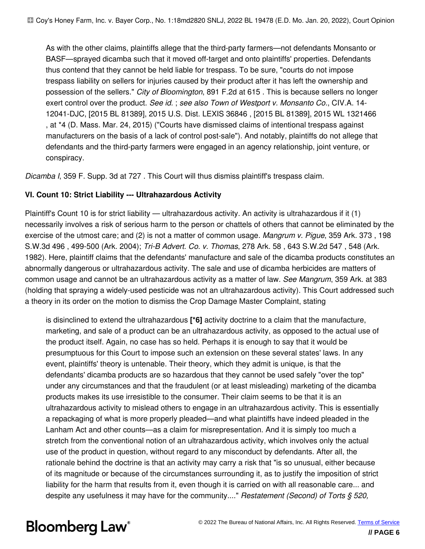As with the other claims, plaintiffs allege that the third-party farmers—not defendants Monsanto or BASF—sprayed dicamba such that it moved off-target and onto plaintiffs' properties. Defendants thus contend that they cannot be held liable for trespass. To be sure, "courts do not impose trespass liability on sellers for injuries caused by their product after it has left the ownership and possession of the sellers." *City of Bloomington*, 891 F.2d at 615 . This is because sellers no longer exert control over the product. *See id.* ; *see also Town of Westport v. Monsanto Co.*, CIV.A. 14- 12041-DJC, [2015 BL 81389], 2015 U.S. Dist. LEXIS 36846 , [2015 BL 81389], 2015 WL 1321466 , at \*4 (D. Mass. Mar. 24, 2015) ("Courts have dismissed claims of intentional trespass against manufacturers on the basis of a lack of control post-sale"). And notably, plaintiffs do not allege that defendants and the third-party farmers were engaged in an agency relationship, joint venture, or conspiracy.

*Dicamba I*, 359 F. Supp. 3d at 727 . This Court will thus dismiss plaintiff's trespass claim.

#### **VI. Count 10: Strict Liability --- Ultrahazardous Activity**

Plaintiff's Count 10 is for strict liability — ultrahazardous activity. An activity is ultrahazardous if it (1) necessarily involves a risk of serious harm to the person or chattels of others that cannot be eliminated by the exercise of the utmost care; and (2) is not a matter of common usage. *Mangrum v. Pigue*, 359 Ark. 373 , 198 S.W.3d 496 , 499-500 (Ark. 2004); *Tri-B Advert. Co. v. Thomas*, 278 Ark. 58 , 643 S.W.2d 547 , 548 (Ark. 1982). Here, plaintiff claims that the defendants' manufacture and sale of the dicamba products constitutes an abnormally dangerous or ultrahazardous activity. The sale and use of dicamba herbicides are matters of common usage and cannot be an ultrahazardous activity as a matter of law. *See Mangrum*, 359 Ark. at 383 (holding that spraying a widely-used pesticide was not an ultrahazardous activity). This Court addressed such a theory in its order on the motion to dismiss the Crop Damage Master Complaint, stating

is disinclined to extend the ultrahazardous **[\*6]** activity doctrine to a claim that the manufacture, marketing, and sale of a product can be an ultrahazardous activity, as opposed to the actual use of the product itself. Again, no case has so held. Perhaps it is enough to say that it would be presumptuous for this Court to impose such an extension on these several states' laws. In any event, plaintiffs' theory is untenable. Their theory, which they admit is unique, is that the defendants' dicamba products are so hazardous that they cannot be used safely "over the top" under any circumstances and that the fraudulent (or at least misleading) marketing of the dicamba products makes its use irresistible to the consumer. Their claim seems to be that it is an ultrahazardous activity to mislead others to engage in an ultrahazardous activity. This is essentially a repackaging of what is more properly pleaded—and what plaintiffs have indeed pleaded in the Lanham Act and other counts—as a claim for misrepresentation. And it is simply too much a stretch from the conventional notion of an ultrahazardous activity, which involves only the actual use of the product in question, without regard to any misconduct by defendants. After all, the rationale behind the doctrine is that an activity may carry a risk that "is so unusual, either because of its magnitude or because of the circumstances surrounding it, as to justify the imposition of strict liability for the harm that results from it, even though it is carried on with all reasonable care... and despite any usefulness it may have for the community...." *Restatement (Second) of Torts § 520,*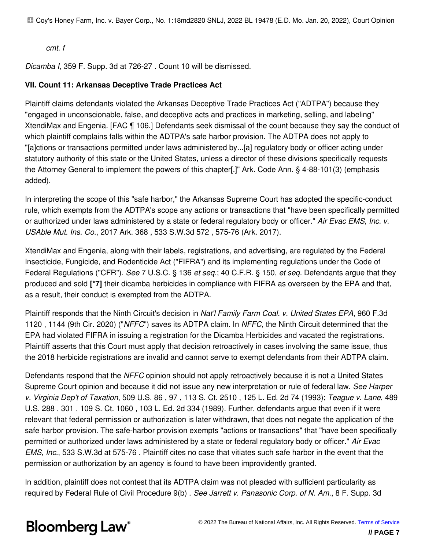Coy's Honey Farm, Inc. v. Bayer Corp., No. 1:18md2820 SNLJ, 2022 BL 19478 (E.D. Mo. Jan. 20, 2022), Court Opinion

*cmt. f*

*Dicamba I*, 359 F. Supp. 3d at 726-27 . Count 10 will be dismissed.

#### **VII. Count 11: Arkansas Deceptive Trade Practices Act**

Plaintiff claims defendants violated the Arkansas Deceptive Trade Practices Act ("ADTPA") because they "engaged in unconscionable, false, and deceptive acts and practices in marketing, selling, and labeling" XtendiMax and Engenia. [FAC ¶ 106.] Defendants seek dismissal of the count because they say the conduct of which plaintiff complains falls within the ADTPA's safe harbor provision. The ADTPA does not apply to "[a]ctions or transactions permitted under laws administered by...[a] regulatory body or officer acting under statutory authority of this state or the United States, unless a director of these divisions specifically requests the Attorney General to implement the powers of this chapter[.]" Ark. Code Ann. § 4-88-101(3) (emphasis added).

In interpreting the scope of this "safe harbor," the Arkansas Supreme Court has adopted the specific-conduct rule, which exempts from the ADTPA's scope any actions or transactions that "have been specifically permitted or authorized under laws administered by a state or federal regulatory body or officer." *Air Evac EMS, Inc. v. USAble Mut. Ins. Co.*, 2017 Ark. 368 , 533 S.W.3d 572 , 575-76 (Ark. 2017).

XtendiMax and Engenia, along with their labels, registrations, and advertising, are regulated by the Federal Insecticide, Fungicide, and Rodenticide Act ("FIFRA") and its implementing regulations under the Code of Federal Regulations ("CFR"). *See* 7 U.S.C. § 136 *et seq.*; 40 C.F.R. § 150, *et seq.* Defendants argue that they produced and sold **[\*7]** their dicamba herbicides in compliance with FIFRA as overseen by the EPA and that, as a result, their conduct is exempted from the ADTPA.

Plaintiff responds that the Ninth Circuit's decision in *Nat'l Family Farm Coal. v. United States EPA*, 960 F.3d 1120 , 1144 (9th Cir. 2020) ("*NFFC*") saves its ADTPA claim. In *NFFC*, the Ninth Circuit determined that the EPA had violated FIFRA in issuing a registration for the Dicamba Herbicides and vacated the registrations. Plaintiff asserts that this Court must apply that decision retroactively in cases involving the same issue, thus the 2018 herbicide registrations are invalid and cannot serve to exempt defendants from their ADTPA claim.

Defendants respond that the *NFFC* opinion should not apply retroactively because it is not a United States Supreme Court opinion and because it did not issue any new interpretation or rule of federal law. *See Harper v. Virginia Dep't of Taxation*, 509 U.S. 86 , 97 , 113 S. Ct. 2510 , 125 L. Ed. 2d 74 (1993); *Teague v. Lane*, 489 U.S. 288 , 301 , 109 S. Ct. 1060 , 103 L. Ed. 2d 334 (1989). Further, defendants argue that even if it were relevant that federal permission or authorization is later withdrawn, that does not negate the application of the safe harbor provision. The safe-harbor provision exempts "actions or transactions" that "have been specifically permitted or authorized under laws administered by a state or federal regulatory body or officer." *Air Evac EMS, Inc.*, 533 S.W.3d at 575-76 . Plaintiff cites no case that vitiates such safe harbor in the event that the permission or authorization by an agency is found to have been improvidently granted.

In addition, plaintiff does not contest that its ADTPA claim was not pleaded with sufficient particularity as required by Federal Rule of Civil Procedure 9(b) . *See Jarrett v. Panasonic Corp. of N. Am.*, 8 F. Supp. 3d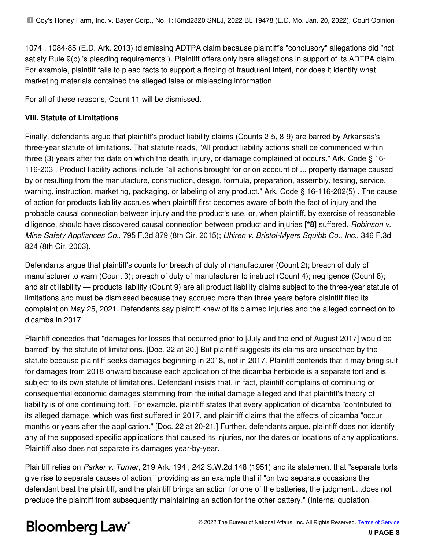1074 , 1084-85 (E.D. Ark. 2013) (dismissing ADTPA claim because plaintiff's "conclusory" allegations did "not satisfy Rule 9(b) 's pleading requirements"). Plaintiff offers only bare allegations in support of its ADTPA claim. For example, plaintiff fails to plead facts to support a finding of fraudulent intent, nor does it identify what marketing materials contained the alleged false or misleading information.

For all of these reasons, Count 11 will be dismissed.

#### **VIII. Statute of Limitations**

Finally, defendants argue that plaintiff's product liability claims (Counts 2-5, 8-9) are barred by Arkansas's three-year statute of limitations. That statute reads, "All product liability actions shall be commenced within three (3) years after the date on which the death, injury, or damage complained of occurs." Ark. Code § 16- 116-203 . Product liability actions include "all actions brought for or on account of ... property damage caused by or resulting from the manufacture, construction, design, formula, preparation, assembly, testing, service, warning, instruction, marketing, packaging, or labeling of any product." Ark. Code § 16-116-202(5) . The cause of action for products liability accrues when plaintiff first becomes aware of both the fact of injury and the probable causal connection between injury and the product's use, or, when plaintiff, by exercise of reasonable diligence, should have discovered causal connection between product and injuries **[\*8]** suffered. *Robinson v. Mine Safety Appliances Co.*, 795 F.3d 879 (8th Cir. 2015); *Uhiren v. Bristol-Myers Squibb Co., Inc.*, 346 F.3d 824 (8th Cir. 2003).

Defendants argue that plaintiff's counts for breach of duty of manufacturer (Count 2); breach of duty of manufacturer to warn (Count 3); breach of duty of manufacturer to instruct (Count 4); negligence (Count 8); and strict liability — products liability (Count 9) are all product liability claims subject to the three-year statute of limitations and must be dismissed because they accrued more than three years before plaintiff filed its complaint on May 25, 2021. Defendants say plaintiff knew of its claimed injuries and the alleged connection to dicamba in 2017.

Plaintiff concedes that "damages for losses that occurred prior to [July and the end of August 2017] would be barred" by the statute of limitations. [Doc. 22 at 20.] But plaintiff suggests its claims are unscathed by the statute because plaintiff seeks damages beginning in 2018, not in 2017. Plaintiff contends that it may bring suit for damages from 2018 onward because each application of the dicamba herbicide is a separate tort and is subject to its own statute of limitations. Defendant insists that, in fact, plaintiff complains of continuing or consequential economic damages stemming from the initial damage alleged and that plaintiff's theory of liability is of one continuing tort. For example, plaintiff states that every application of dicamba "contributed to" its alleged damage, which was first suffered in 2017, and plaintiff claims that the effects of dicamba "occur months or years after the application." [Doc. 22 at 20-21.] Further, defendants argue, plaintiff does not identify any of the supposed specific applications that caused its injuries, nor the dates or locations of any applications. Plaintiff also does not separate its damages year-by-year.

Plaintiff relies on *Parker v. Turner*, 219 Ark. 194 , 242 S.W.2d 148 (1951) and its statement that "separate torts give rise to separate causes of action," providing as an example that if "on two separate occasions the defendant beat the plaintiff, and the plaintiff brings an action for one of the batteries, the judgment....does not preclude the plaintiff from subsequently maintaining an action for the other battery." (Internal quotation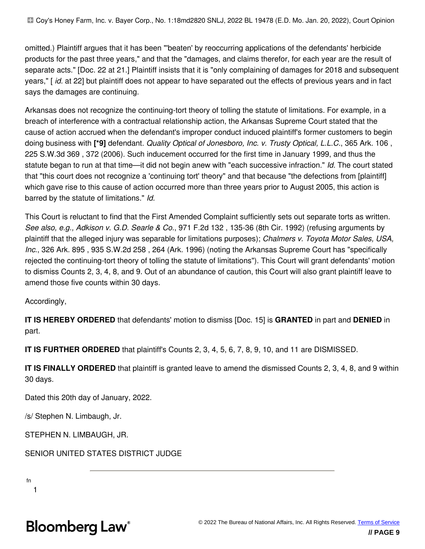omitted.) Plaintiff argues that it has been "'beaten' by reoccurring applications of the defendants' herbicide products for the past three years," and that the "damages, and claims therefor, for each year are the result of separate acts." [Doc. 22 at 21.] Plaintiff insists that it is "only complaining of damages for 2018 and subsequent years," [ *id.* at 22] but plaintiff does not appear to have separated out the effects of previous years and in fact says the damages are continuing.

Arkansas does not recognize the continuing-tort theory of tolling the statute of limitations. For example, in a breach of interference with a contractual relationship action, the Arkansas Supreme Court stated that the cause of action accrued when the defendant's improper conduct induced plaintiff's former customers to begin doing business with **[\*9]** defendant. *Quality Optical of Jonesboro, Inc. v. Trusty Optical, L.L.C.*, 365 Ark. 106 , 225 S.W.3d 369 , 372 (2006). Such inducement occurred for the first time in January 1999, and thus the statute began to run at that time—it did not begin anew with "each successive infraction." *Id.* The court stated that "this court does not recognize a 'continuing tort' theory" and that because "the defections from [plaintiff] which gave rise to this cause of action occurred more than three years prior to August 2005, this action is barred by the statute of limitations." *Id.*

This Court is reluctant to find that the First Amended Complaint sufficiently sets out separate torts as written. *See also, e.g., Adkison v. G.D. Searle & Co.*, 971 F.2d 132 , 135-36 (8th Cir. 1992) (refusing arguments by plaintiff that the alleged injury was separable for limitations purposes); *Chalmers v. Toyota Motor Sales, USA, Inc.*, 326 Ark. 895 , 935 S.W.2d 258 , 264 (Ark. 1996) (noting the Arkansas Supreme Court has "specifically rejected the continuing-tort theory of tolling the statute of limitations"). This Court will grant defendants' motion to dismiss Counts 2, 3, 4, 8, and 9. Out of an abundance of caution, this Court will also grant plaintiff leave to amend those five counts within 30 days.

Accordingly,

**IT IS HEREBY ORDERED** that defendants' motion to dismiss [Doc. 15] is **GRANTED** in part and **DENIED** in part.

**IT IS FURTHER ORDERED** that plaintiff's Counts 2, 3, 4, 5, 6, 7, 8, 9, 10, and 11 are DISMISSED.

**IT IS FINALLY ORDERED** that plaintiff is granted leave to amend the dismissed Counts 2, 3, 4, 8, and 9 within 30 days.

Dated this 20th day of January, 2022.

/s/ Stephen N. Limbaugh, Jr.

STEPHEN N. LIMBAUGH, JR.

SENIOR UNITED STATES DISTRICT JUDGE

fn

1